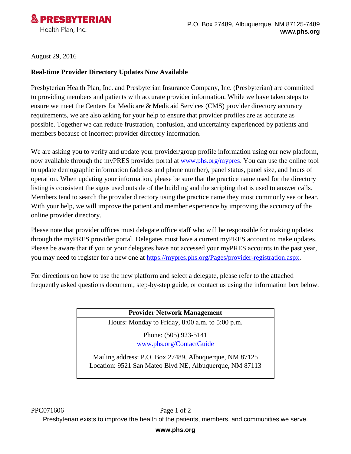

August 29, 2016

#### **Real-time Provider Directory Updates Now Available**

Presbyterian Health Plan, Inc. and Presbyterian Insurance Company, Inc. (Presbyterian) are committed to providing members and patients with accurate provider information. While we have taken steps to ensure we meet the Centers for Medicare & Medicaid Services (CMS) provider directory accuracy requirements, we are also asking for your help to ensure that provider profiles are as accurate as possible. Together we can reduce frustration, confusion, and uncertainty experienced by patients and members because of incorrect provider directory information.

We are asking you to verify and update your provider/group profile information using our new platform, now available through the myPRES provider portal at [www.phs.org/mypres.](http://www.phs.org/mypres) You can use the online tool to update demographic information (address and phone number), panel status, panel size, and hours of operation. When updating your information, please be sure that the practice name used for the directory listing is consistent the signs used outside of the building and the scripting that is used to answer calls. Members tend to search the provider directory using the practice name they most commonly see or hear. With your help, we will improve the patient and member experience by improving the accuracy of the online provider directory.

Please note that provider offices must delegate office staff who will be responsible for making updates through the myPRES provider portal. Delegates must have a current myPRES account to make updates. Please be aware that if you or your delegates have not accessed your myPRES accounts in the past year, you may need to register for a new one at [https://mypres.phs.org/Pages/provider-registration.aspx.](https://mypres.phs.org/Pages/provider-registration.aspx)

For directions on how to use the new platform and select a delegate, please refer to the attached frequently asked questions document, step-by-step guide, or contact us using the information box below.

### **Provider Network Management**

Hours: Monday to Friday, 8:00 a.m. to 5:00 p.m.

Phone: (505) 923-5141 [www.phs.org/ContactGuide](http://www.phs.org/ContactGuide)

Mailing address: P.O. Box 27489, Albuquerque, NM 87125 Location: 9521 San Mateo Blvd NE, Albuquerque, NM 87113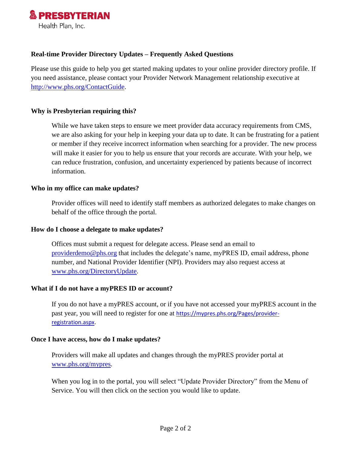

#### **Real-time Provider Directory Updates – Frequently Asked Questions**

Please use this guide to help you get started making updates to your online provider directory profile. If you need assistance, please contact your Provider Network Management relationship executive at [http://www.phs.org/ContactGuide.](http://www.phs.org/ContactGuide)

#### **Why is Presbyterian requiring this?**

While we have taken steps to ensure we meet provider data accuracy requirements from CMS, we are also asking for your help in keeping your data up to date. It can be frustrating for a patient or member if they receive incorrect information when searching for a provider. The new process will make it easier for you to help us ensure that your records are accurate. With your help, we can reduce frustration, confusion, and uncertainty experienced by patients because of incorrect information.

#### **Who in my office can make updates?**

Provider offices will need to identify staff members as authorized delegates to make changes on behalf of the office through the portal.

#### **How do I choose a delegate to make updates?**

Offices must submit a request for delegate access. Please send an email to [providerdemo@phs.org](mailto:providerdemo@phs.org) that includes the delegate's name, myPRES ID, email address, phone number, and National Provider Identifier (NPI). Providers may also request access at [www.phs.org/DirectoryUpdate.](http://www.phs.org/DirectoryUpdate)

#### **What if I do not have a myPRES ID or account?**

If you do not have a myPRES account, or if you have not accessed your myPRES account in the past year, you will need to register for one at [https://mypres.phs.org/Pages/provider](https://mypres.phs.org/Pages/provider-registration.aspx)[registration.aspx.](https://mypres.phs.org/Pages/provider-registration.aspx)

#### **Once I have access, how do I make updates?**

Providers will make all updates and changes through the myPRES provider portal at [www.phs.org/mypres.](http://www.phs.org/mypres)

When you log in to the portal, you will select "Update Provider Directory" from the Menu of Service. You will then click on the section you would like to update.